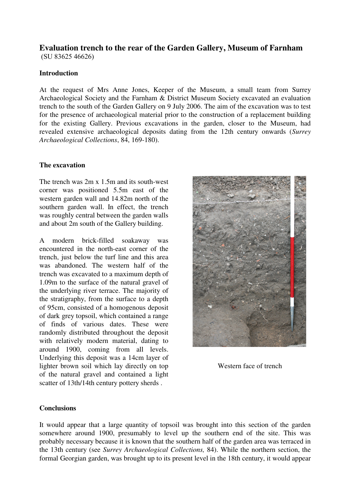## **Evaluation trench to the rear of the Garden Gallery, Museum of Farnham**

(SU 83625 46626)

## **Introduction**

At the request of Mrs Anne Jones, Keeper of the Museum, a small team from Surrey Archaeological Society and the Farnham & District Museum Society excavated an evaluation trench to the south of the Garden Gallery on 9 July 2006. The aim of the excavation was to test for the presence of archaeological material prior to the construction of a replacement building for the existing Gallery. Previous excavations in the garden, closer to the Museum, had revealed extensive archaeological deposits dating from the 12th century onwards (*Surrey Archaeological Collections*, 84, 169-180).

## **The excavation**

The trench was 2m x 1.5m and its south-west corner was positioned 5.5m east of the western garden wall and 14.82m north of the southern garden wall. In effect, the trench was roughly central between the garden walls and about 2m south of the Gallery building.

A modern brick-filled soakaway was encountered in the north-east corner of the trench, just below the turf line and this area was abandoned. The western half of the trench was excavated to a maximum depth of 1.09m to the surface of the natural gravel of the underlying river terrace. The majority of the stratigraphy, from the surface to a depth of 95cm, consisted of a homogenous deposit of dark grey topsoil, which contained a range of finds of various dates. These were randomly distributed throughout the deposit with relatively modern material, dating to around 1900, coming from all levels. Underlying this deposit was a 14cm layer of lighter brown soil which lay directly on top of the natural gravel and contained a light scatter of 13th/14th century pottery sherds .



Western face of trench

## **Conclusions**

It would appear that a large quantity of topsoil was brought into this section of the garden somewhere around 1900, presumably to level up the southern end of the site. This was probably necessary because it is known that the southern half of the garden area was terraced in the 13th century (see *Surrey Archaeological Collections,* 84). While the northern section, the formal Georgian garden, was brought up to its present level in the 18th century, it would appear